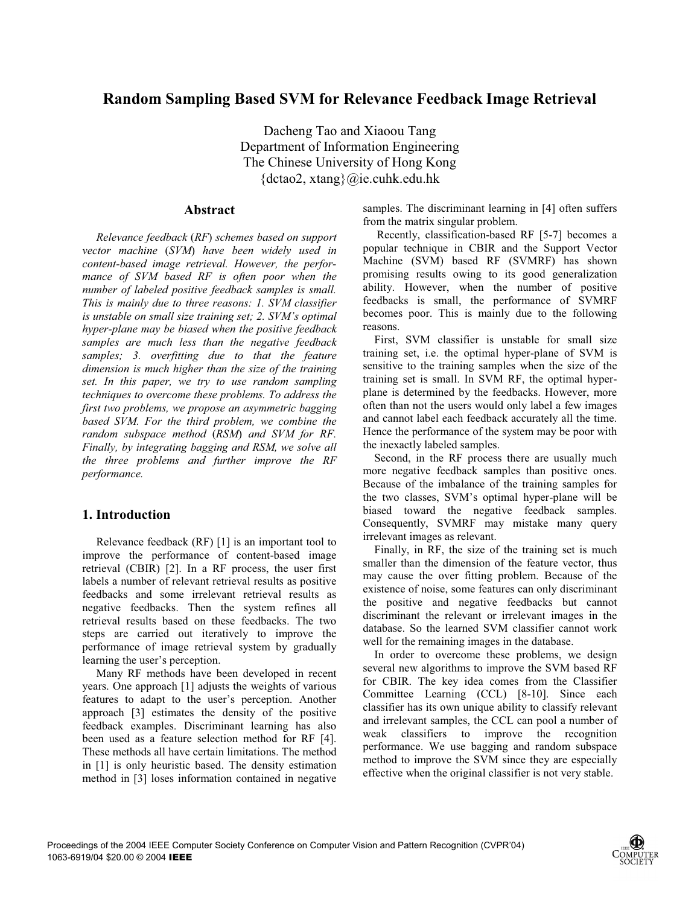# **Random Sampling Based SVM for Relevance Feedback Image Retrieval**

Dacheng Tao and Xiaoou Tang Department of Information Engineering The Chinese University of Hong Kong {dctao2, xtang}@ie.cuhk.edu.hk

### **Abstract**

*Relevance feedback* (*RF*) *schemes based on support vector machine* (*SVM*) *have been widely used in content-based image retrieval. However, the performance of SVM based RF is often poor when the number of labeled positive feedback samples is small. This is mainly due to three reasons: 1. SVM classifier is unstable on small size training set; 2. SVM's optimal hyper-plane may be biased when the positive feedback samples are much less than the negative feedback samples; 3. overfitting due to that the feature dimension is much higher than the size of the training set. In this paper, we try to use random sampling techniques to overcome these problems. To address the first two problems, we propose an asymmetric bagging based SVM. For the third problem, we combine the random subspace method* (*RSM*) *and SVM for RF. Finally, by integrating bagging and RSM, we solve all the three problems and further improve the RF performance.* 

# **1. Introduction**

Relevance feedback (RF) [1] is an important tool to improve the performance of content-based image retrieval (CBIR) [2]. In a RF process, the user first labels a number of relevant retrieval results as positive feedbacks and some irrelevant retrieval results as negative feedbacks. Then the system refines all retrieval results based on these feedbacks. The two steps are carried out iteratively to improve the performance of image retrieval system by gradually learning the user's perception.

Many RF methods have been developed in recent years. One approach [1] adjusts the weights of various features to adapt to the user's perception. Another approach [3] estimates the density of the positive feedback examples. Discriminant learning has also been used as a feature selection method for RF [4]. These methods all have certain limitations. The method in [1] is only heuristic based. The density estimation method in [3] loses information contained in negative samples. The discriminant learning in [4] often suffers from the matrix singular problem.

Recently, classification-based RF [5-7] becomes a popular technique in CBIR and the Support Vector Machine (SVM) based RF (SVMRF) has shown promising results owing to its good generalization ability. However, when the number of positive feedbacks is small, the performance of SVMRF becomes poor. This is mainly due to the following reasons.

First, SVM classifier is unstable for small size training set, i.e. the optimal hyper-plane of SVM is sensitive to the training samples when the size of the training set is small. In SVM RF, the optimal hyperplane is determined by the feedbacks. However, more often than not the users would only label a few images and cannot label each feedback accurately all the time. Hence the performance of the system may be poor with the inexactly labeled samples.

Second, in the RF process there are usually much more negative feedback samples than positive ones. Because of the imbalance of the training samples for the two classes, SVM's optimal hyper-plane will be biased toward the negative feedback samples. Consequently, SVMRF may mistake many query irrelevant images as relevant.

Finally, in RF, the size of the training set is much smaller than the dimension of the feature vector, thus may cause the over fitting problem. Because of the existence of noise, some features can only discriminant the positive and negative feedbacks but cannot discriminant the relevant or irrelevant images in the database. So the learned SVM classifier cannot work well for the remaining images in the database.

In order to overcome these problems, we design several new algorithms to improve the SVM based RF for CBIR. The key idea comes from the Classifier Committee Learning (CCL) [8-10]. Since each classifier has its own unique ability to classify relevant and irrelevant samples, the CCL can pool a number of weak classifiers to improve the recognition performance. We use bagging and random subspace method to improve the SVM since they are especially effective when the original classifier is not very stable.

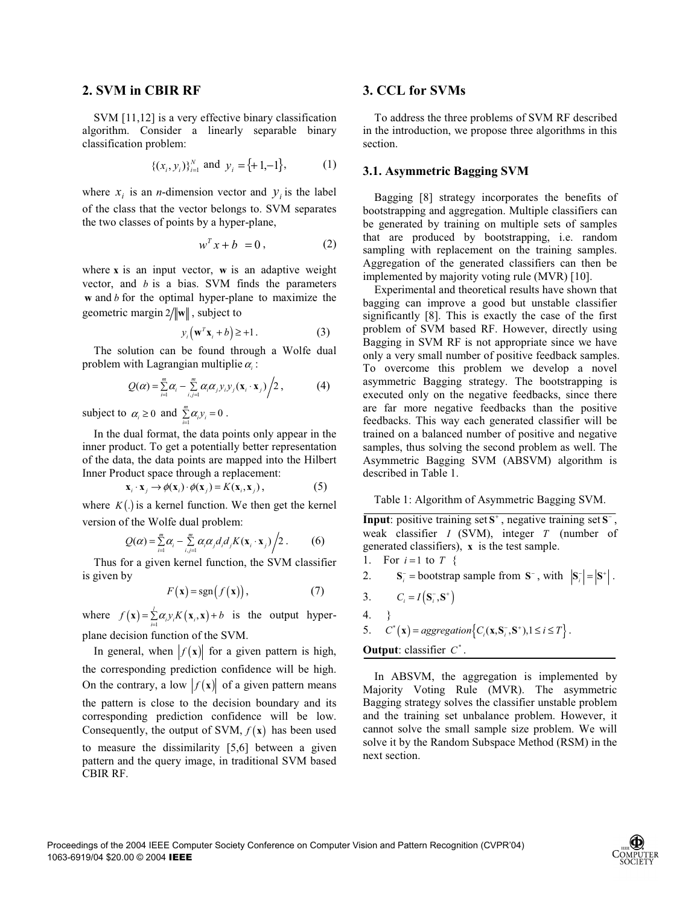### **2. SVM in CBIR RF**

SVM [11,12] is a very effective binary classification algorithm. Consider a linearly separable binary classification problem:

$$
\{(x_i, y_i)\}_{i=1}^N \text{ and } y_i = \{+1, -1\},\tag{1}
$$

where  $x_i$  is an *n*-dimension vector and  $y_i$  is the label of the class that the vector belongs to. SVM separates the two classes of points by a hyper-plane,

$$
w^T x + b = 0, \qquad (2)
$$

where **x** is an input vector, **w** is an adaptive weight vector, and *b* is a bias. SVM finds the parameters **w** and *b* for the optimal hyper-plane to maximize the geometric margin  $2/||w||$ , subject to

$$
y_i(\mathbf{w}^T \mathbf{x}_i + b) \geq +1.
$$
 (3)

The solution can be found through a Wolfe dual problem with Lagrangian multiplie  $\alpha$ <sub>i</sub>:

$$
Q(\alpha) = \sum_{i=1}^{m} \alpha_i - \sum_{i,j=1}^{m} \alpha_i \alpha_j y_i y_j (\mathbf{x}_i \cdot \mathbf{x}_j) / 2, \qquad (4)
$$

subject to  $\alpha_i \geq 0$  and  $\sum_{i=1}^{m} \alpha_i y_i = 0$ .

In the dual format, the data points only appear in the inner product. To get a potentially better representation of the data, the data points are mapped into the Hilbert Inner Product space through a replacement:

$$
\mathbf{x}_{i} \cdot \mathbf{x}_{j} \rightarrow \phi(\mathbf{x}_{i}) \cdot \phi(\mathbf{x}_{j}) = K(\mathbf{x}_{i}, \mathbf{x}_{j}), \qquad (5)
$$

where  $K(.)$  is a kernel function. We then get the kernel version of the Wolfe dual problem:

$$
Q(\alpha) = \sum_{i=1}^{m} \alpha_i - \sum_{i,j=1}^{m} \alpha_i \alpha_j d_i d_j K(\mathbf{x}_i \cdot \mathbf{x}_j) / 2.
$$
 (6)

Thus for a given kernel function, the SVM classifier is given by

$$
F(\mathbf{x}) = \text{sgn}(f(\mathbf{x})),\tag{7}
$$

where  $f(\mathbf{x}) = \sum_{i=1}^{l} \alpha_i y_i K(\mathbf{x}_i, \mathbf{x}) + b$  is the output hyperplane decision function of the SVM.

In general, when  $|f(\mathbf{x})|$  for a given pattern is high, the corresponding prediction confidence will be high. On the contrary, a low  $\left| f(\mathbf{x}) \right|$  of a given pattern means the pattern is close to the decision boundary and its corresponding prediction confidence will be low. Consequently, the output of SVM,  $f(x)$  has been used to measure the dissimilarity [5,6] between a given pattern and the query image, in traditional SVM based CBIR RF.

### **3. CCL for SVMs**

To address the three problems of SVM RF described in the introduction, we propose three algorithms in this section.

### **3.1. Asymmetric Bagging SVM**

Bagging [8] strategy incorporates the benefits of bootstrapping and aggregation. Multiple classifiers can be generated by training on multiple sets of samples that are produced by bootstrapping, i.e. random sampling with replacement on the training samples. Aggregation of the generated classifiers can then be implemented by majority voting rule (MVR) [10].

Experimental and theoretical results have shown that bagging can improve a good but unstable classifier significantly [8]. This is exactly the case of the first problem of SVM based RF. However, directly using Bagging in SVM RF is not appropriate since we have only a very small number of positive feedback samples. To overcome this problem we develop a novel asymmetric Bagging strategy. The bootstrapping is executed only on the negative feedbacks, since there are far more negative feedbacks than the positive feedbacks. This way each generated classifier will be trained on a balanced number of positive and negative samples, thus solving the second problem as well. The Asymmetric Bagging SVM (ABSVM) algorithm is described in Table 1.

Table 1: Algorithm of Asymmetric Bagging SVM.

**Input**: positive training set S<sup>+</sup>, negative training set S<sup>−</sup>, weak classifier *I* (SVM), integer *T* (number of generated classifiers), **x** is the test sample.

1. For  $i = 1$  to  $T \{$ 2.  $S_i^-$  = bootstrap sample from  $S^-$ , with  $|S_i^-| = |S^+|$ . 3.  $C_i = I(S_i, S^+)$ 4. } 5.  $C^*(\mathbf{x}) = \text{aggregation}\left\{C_i(\mathbf{x}, \mathbf{S}_i^-, \mathbf{S}^+), 1 \leq i \leq T\right\}.$ **Output**: classifier  $C^*$ .

In ABSVM, the aggregation is implemented by Majority Voting Rule (MVR). The asymmetric Bagging strategy solves the classifier unstable problem and the training set unbalance problem. However, it cannot solve the small sample size problem. We will solve it by the Random Subspace Method (RSM) in the next section.

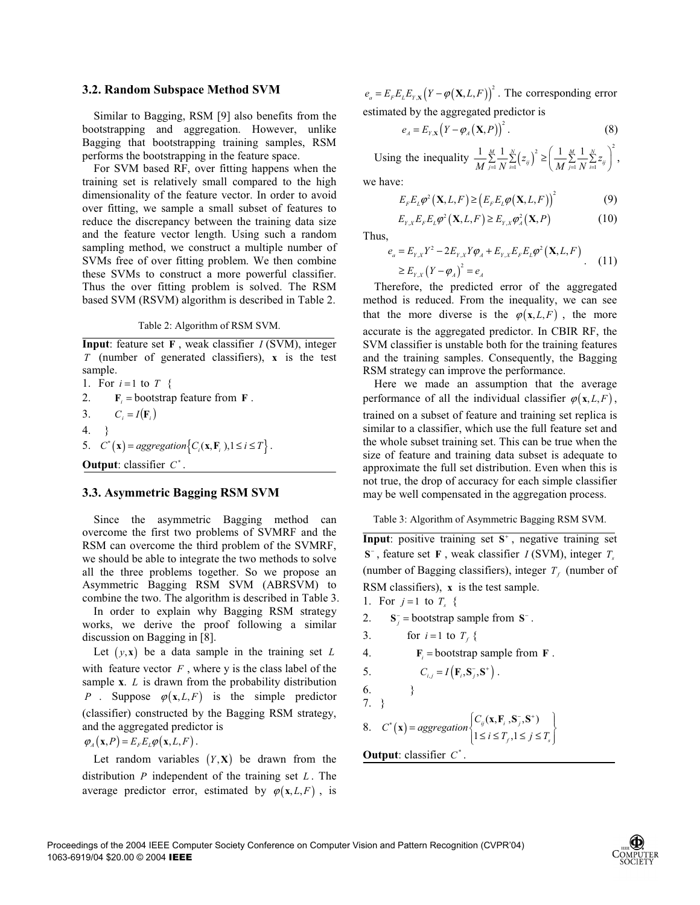#### **3.2. Random Subspace Method SVM**

Similar to Bagging, RSM [9] also benefits from the bootstrapping and aggregation. However, unlike Bagging that bootstrapping training samples, RSM performs the bootstrapping in the feature space.

For SVM based RF, over fitting happens when the training set is relatively small compared to the high dimensionality of the feature vector. In order to avoid over fitting, we sample a small subset of features to reduce the discrepancy between the training data size and the feature vector length. Using such a random sampling method, we construct a multiple number of SVMs free of over fitting problem. We then combine these SVMs to construct a more powerful classifier. Thus the over fitting problem is solved. The RSM based SVM (RSVM) algorithm is described in Table 2.

#### Table 2: Algorithm of RSM SVM.

**Input**: feature set **F** , weak classifier *I* (SVM), integer *T* (number of generated classifiers), **x** is the test sample.

1. For  $i=1$  to  $T \{$ 2.  $\mathbf{F}_i = \text{bootstrap feature from } \mathbf{F}$ . 3.  $C_i = I(\mathbf{F}_i)$ 4. } 5.  $C^*(\mathbf{x}) = \text{aggregation}\left\{C_i(\mathbf{x}, \mathbf{F}_i), 1 \leq i \leq T\right\}.$ **Output**: classifier  $C^*$ .

### **3.3. Asymmetric Bagging RSM SVM**

Since the asymmetric Bagging method can overcome the first two problems of SVMRF and the RSM can overcome the third problem of the SVMRF, we should be able to integrate the two methods to solve all the three problems together. So we propose an Asymmetric Bagging RSM SVM (ABRSVM) to combine the two. The algorithm is described in Table 3.

In order to explain why Bagging RSM strategy works, we derive the proof following a similar discussion on Bagging in [8].

Let  $(y, x)$  be a data sample in the training set *L* with feature vector  $F$ , where y is the class label of the sample **x**. *L* is drawn from the probability distribution *P* . Suppose  $\varphi(x, L, F)$  is the simple predictor (classifier) constructed by the Bagging RSM strategy, and the aggregated predictor is  $\varphi_A(\mathbf{x}, P) = E_E E_I \varphi(\mathbf{x}, L, F)$ .

Let random variables  $(Y, X)$  be drawn from the distribution *P* independent of the training set *L* . The average predictor error, estimated by  $\varphi(\mathbf{x}, L, F)$ , is

 $e_a = E_F E_L E_{Y,X} (Y - \varphi(\mathbf{X}, L, F))^2$ . The corresponding error estimated by the aggregated predictor is

$$
e_{A} = E_{Y,X} (Y - \varphi_A (\mathbf{X}, P))^2.
$$
 (8)

Using the inequality  $\frac{1}{M} \sum_{j=1}^{M} \frac{1}{N} \sum_{i=1}^{N} (z_{ij})^2 \ge \left( \frac{1}{M} \sum_{j=1}^{M} \frac{1}{N} \sum_{i=1}^{N} z_{ij} \right)^2$  $1 \times 1 \times (-1)^2 \times (1 \times 1 \times$  $\frac{1}{M}\sum_{j=1}^{M}\frac{1}{N}\sum_{i=1}^{N}\Big(z_{ij}\Big)^{2} \geq \left(\frac{1}{M}\sum_{j=1}^{M}\frac{1}{N}\sum_{i=1}^{N}z_{ij}\right)^{2},$ 

we have:

$$
E_{F}E_{L}\varphi^{2}\left(\mathbf{X},L,F\right)\geq\left(E_{F}E_{L}\varphi\left(\mathbf{X},L,F\right)\right)^{2}\tag{9}
$$

$$
E_{Y,X}E_{F}E_{L}\varphi^{2}\left(\mathbf{X},L,F\right)\geq E_{Y,X}\varphi_{A}^{2}\left(\mathbf{X},P\right)
$$
 (10)

Thus,

$$
e_{a} = E_{Y,X}Y^{2} - 2E_{Y,X}Y\varphi_{A} + E_{Y,X}E_{F}E_{L}\varphi^{2}(\mathbf{X},L,F) \geq E_{Y,X}(Y - \varphi_{A})^{2} = e_{A}
$$
\n(11)

Therefore, the predicted error of the aggregated method is reduced. From the inequality, we can see that the more diverse is the  $\varphi(x, L, F)$ , the more accurate is the aggregated predictor. In CBIR RF, the SVM classifier is unstable both for the training features and the training samples. Consequently, the Bagging RSM strategy can improve the performance.

Here we made an assumption that the average performance of all the individual classifier  $\varphi(\mathbf{x}, L, F)$ , trained on a subset of feature and training set replica is similar to a classifier, which use the full feature set and the whole subset training set. This can be true when the size of feature and training data subset is adequate to approximate the full set distribution. Even when this is not true, the drop of accuracy for each simple classifier may be well compensated in the aggregation process.

Table 3: Algorithm of Asymmetric Bagging RSM SVM.

**Input**: positive training set  $S^*$ , negative training set S<sup>−</sup>, feature set **F**, weak classifier *I* (SVM), integer *T*<sub>s</sub> (number of Bagging classifiers), integer  $T_f$  (number of RSM classifiers), **x** is the test sample.

1. For  $j = 1$  to  $T_s \{$ 2.  $S_j^-$  = bootstrap sample from  $S^-$ . 3. for  $i=1$  to  $T<sub>c</sub>$  {

4. 
$$
\mathbf{F}_i = \text{bootstrap sample from } \mathbf{F}
$$
.

$$
S. \qquad C_{i,j} = I\left(\mathbf{F}_i, \mathbf{S}_j^-, \mathbf{S}^+\right).
$$

6.   
\n7.   
\n8. 
$$
C^*(\mathbf{x}) = \text{aggregation}\begin{cases} C_{ij}(\mathbf{x}, \mathbf{F}_i, \mathbf{S}_j^-, \mathbf{S}^+) \\ 1 \leq i \leq T_f, 1 \leq j \leq T_s \end{cases}
$$

**Output**: classifier  $C^*$ .

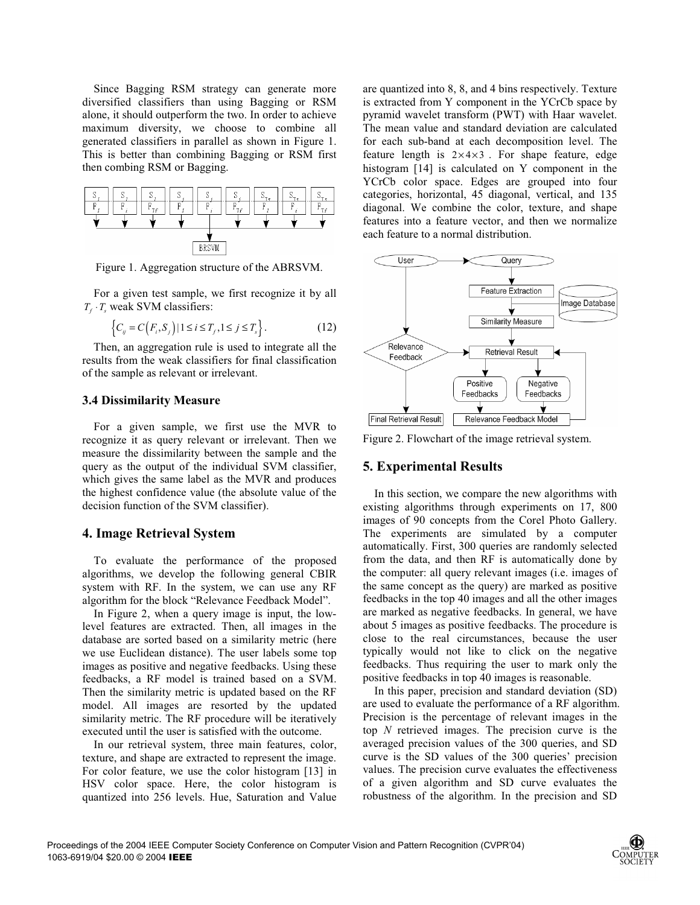Since Bagging RSM strategy can generate more diversified classifiers than using Bagging or RSM alone, it should outperform the two. In order to achieve maximum diversity, we choose to combine all generated classifiers in parallel as shown in Figure 1. This is better than combining Bagging or RSM first then combing RSM or Bagging.



Figure 1. Aggregation structure of the ABRSVM.

For a given test sample, we first recognize it by all  $T_f \cdot T_s$  weak SVM classifiers:

$$
\left\{C_{ij} = C\left(F_i, S_j\right) \mid 1 \le i \le T_f, 1 \le j \le T_s\right\}.
$$
\n(12)

Then, an aggregation rule is used to integrate all the results from the weak classifiers for final classification of the sample as relevant or irrelevant.

## **3.4 Dissimilarity Measure**

For a given sample, we first use the MVR to recognize it as query relevant or irrelevant. Then we measure the dissimilarity between the sample and the query as the output of the individual SVM classifier, which gives the same label as the MVR and produces the highest confidence value (the absolute value of the decision function of the SVM classifier).

# **4. Image Retrieval System**

To evaluate the performance of the proposed algorithms, we develop the following general CBIR system with RF. In the system, we can use any RF algorithm for the block "Relevance Feedback Model".

In Figure 2, when a query image is input, the lowlevel features are extracted. Then, all images in the database are sorted based on a similarity metric (here we use Euclidean distance). The user labels some top images as positive and negative feedbacks. Using these feedbacks, a RF model is trained based on a SVM. Then the similarity metric is updated based on the RF model. All images are resorted by the updated similarity metric. The RF procedure will be iteratively executed until the user is satisfied with the outcome.

In our retrieval system, three main features, color, texture, and shape are extracted to represent the image. For color feature, we use the color histogram [13] in HSV color space. Here, the color histogram is quantized into 256 levels. Hue, Saturation and Value

are quantized into 8, 8, and 4 bins respectively. Texture is extracted from Y component in the YCrCb space by pyramid wavelet transform (PWT) with Haar wavelet. The mean value and standard deviation are calculated for each sub-band at each decomposition level. The feature length is  $2 \times 4 \times 3$ . For shape feature, edge histogram [14] is calculated on Y component in the YCrCb color space. Edges are grouped into four categories, horizontal, 45 diagonal, vertical, and 135 diagonal. We combine the color, texture, and shape features into a feature vector, and then we normalize each feature to a normal distribution.



Figure 2. Flowchart of the image retrieval system.

# **5. Experimental Results**

In this section, we compare the new algorithms with existing algorithms through experiments on 17, 800 images of 90 concepts from the Corel Photo Gallery. The experiments are simulated by a computer automatically. First, 300 queries are randomly selected from the data, and then RF is automatically done by the computer: all query relevant images (i.e. images of the same concept as the query) are marked as positive feedbacks in the top 40 images and all the other images are marked as negative feedbacks. In general, we have about 5 images as positive feedbacks. The procedure is close to the real circumstances, because the user typically would not like to click on the negative feedbacks. Thus requiring the user to mark only the positive feedbacks in top 40 images is reasonable.

In this paper, precision and standard deviation (SD) are used to evaluate the performance of a RF algorithm. Precision is the percentage of relevant images in the top *N* retrieved images. The precision curve is the averaged precision values of the 300 queries, and SD curve is the SD values of the 300 queries' precision values. The precision curve evaluates the effectiveness of a given algorithm and SD curve evaluates the robustness of the algorithm. In the precision and SD

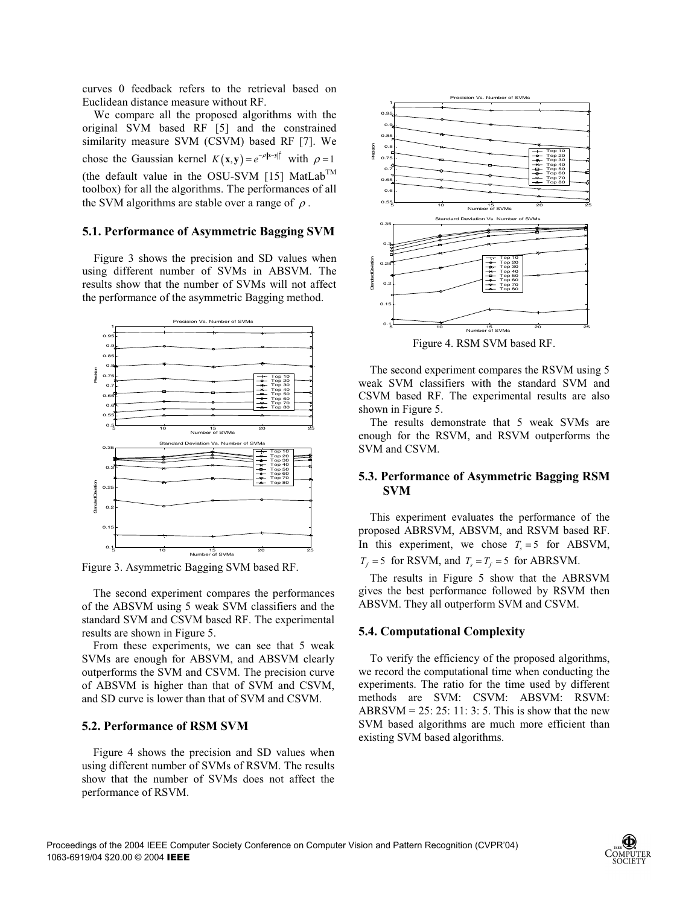curves 0 feedback refers to the retrieval based on Euclidean distance measure without RF.

We compare all the proposed algorithms with the original SVM based RF [5] and the constrained similarity measure SVM (CSVM) based RF [7]. We chose the Gaussian kernel  $K(x, y) = e^{-\rho |x-y|^2}$  with  $\rho = 1$ (the default value in the OSU-SVM [15] MatLab<sup>TM</sup> toolbox) for all the algorithms. The performances of all the SVM algorithms are stable over a range of  $\rho$ .

### **5.1. Performance of Asymmetric Bagging SVM**

Figure 3 shows the precision and SD values when using different number of SVMs in ABSVM. The results show that the number of SVMs will not affect the performance of the asymmetric Bagging method.



Figure 3. Asymmetric Bagging SVM based RF.

The second experiment compares the performances of the ABSVM using 5 weak SVM classifiers and the standard SVM and CSVM based RF. The experimental results are shown in Figure 5.

From these experiments, we can see that 5 weak SVMs are enough for ABSVM, and ABSVM clearly outperforms the SVM and CSVM. The precision curve of ABSVM is higher than that of SVM and CSVM, and SD curve is lower than that of SVM and CSVM.

#### **5.2. Performance of RSM SVM**

Figure 4 shows the precision and SD values when using different number of SVMs of RSVM. The results show that the number of SVMs does not affect the performance of RSVM.



Figure 4. RSM SVM based RF.

The second experiment compares the RSVM using 5 weak SVM classifiers with the standard SVM and CSVM based RF. The experimental results are also shown in Figure 5.

The results demonstrate that 5 weak SVMs are enough for the RSVM, and RSVM outperforms the SVM and CSVM.

### **5.3. Performance of Asymmetric Bagging RSM SVM**

This experiment evaluates the performance of the proposed ABRSVM, ABSVM, and RSVM based RF. In this experiment, we chose  $T<sub>s</sub> = 5$  for ABSVM,  $T_f = 5$  for RSVM, and  $T_s = T_f = 5$  for ABRSVM.

The results in Figure 5 show that the ABRSVM gives the best performance followed by RSVM then ABSVM. They all outperform SVM and CSVM.

### **5.4. Computational Complexity**

To verify the efficiency of the proposed algorithms, we record the computational time when conducting the experiments. The ratio for the time used by different methods are SVM: CSVM: ABSVM: RSVM: ABRSVM =  $25: 25: 11: 3: 5$ . This is show that the new SVM based algorithms are much more efficient than existing SVM based algorithms.